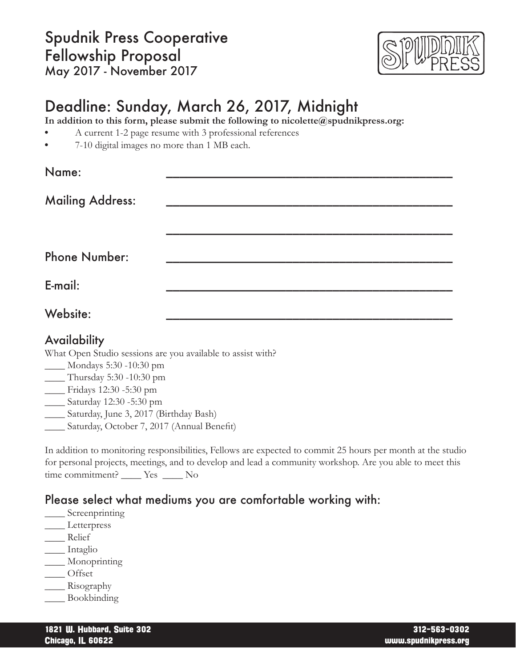### Spudnik Press Cooperative Fellowship Proposal May 2017 - November 2017



# Deadline: Sunday, March 26, 2017, Midnight

**In addition to this form, please submit the following to nicolette@spudnikpress.org:**

- A current 1-2 page resume with 3 professional references
- 7-10 digital images no more than 1 MB each.

| Name:                   |  |
|-------------------------|--|
| <b>Mailing Address:</b> |  |
|                         |  |
|                         |  |
| <b>Phone Number:</b>    |  |
| E-mail:                 |  |
| Website:                |  |

### **Availability**

What Open Studio sessions are you available to assist with?

- \_\_\_\_ Mondays 5:30 -10:30 pm
- \_\_\_\_ Thursday 5:30 -10:30 pm
- \_\_\_\_ Fridays 12:30 -5:30 pm
- \_\_\_\_ Saturday 12:30 -5:30 pm
- \_\_\_\_ Saturday, June 3, 2017 (Birthday Bash)
- \_\_\_\_ Saturday, October 7, 2017 (Annual Benefit)

In addition to monitoring responsibilities, Fellows are expected to commit 25 hours per month at the studio for personal projects, meetings, and to develop and lead a community workshop. Are you able to meet this time commitment? \_\_\_\_ Yes \_\_\_\_ No

### Please select what mediums you are comfortable working with:

- \_\_\_\_ Screenprinting
- \_\_\_\_ Letterpress
- \_\_\_\_ Relief
- \_\_\_\_ Intaglio
- \_\_\_\_ Monoprinting
- \_\_\_\_ Offset
- \_\_\_\_ Risography
- \_\_\_\_ Bookbinding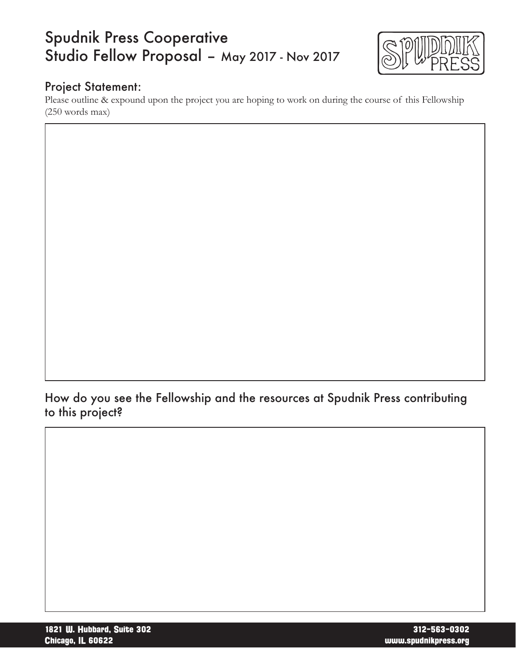## Spudnik Press Cooperative Studio Fellow Proposal – May 2017 - Nov 2017



#### Project Statement:

Please outline & expound upon the project you are hoping to work on during the course of this Fellowship (250 words max)

How do you see the Fellowship and the resources at Spudnik Press contributing to this project?